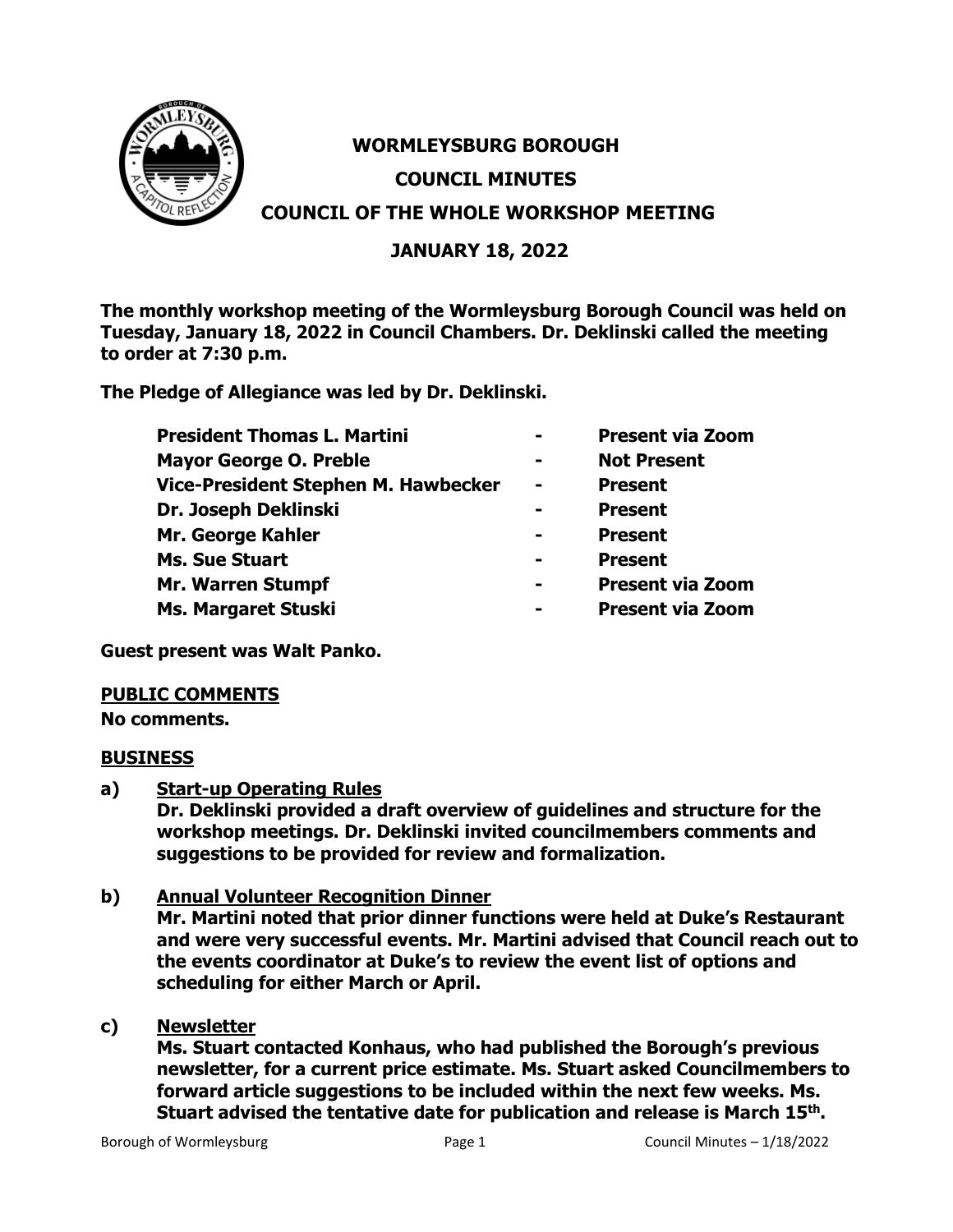

# **WORMLEYSBURG BOROUGH COUNCIL MINUTES COUNCIL OF THE WHOLE WORKSHOP MEETING**

# **JANUARY 18, 2022**

**The monthly workshop meeting of the Wormleysburg Borough Council was held on Tuesday, January 18, 2022 in Council Chambers. Dr. Deklinski called the meeting to order at 7:30 p.m.**

**The Pledge of Allegiance was led by Dr. Deklinski.**

| <b>President Thomas L. Martini</b>                                                      |                | <b>Present via Zoom</b>                                                       |                     |  |                         |
|-----------------------------------------------------------------------------------------|----------------|-------------------------------------------------------------------------------|---------------------|--|-------------------------|
| <b>Mayor George O. Preble</b>                                                           | $\blacksquare$ | <b>Not Present</b>                                                            |                     |  |                         |
| Vice-President Stephen M. Hawbecker                                                     | $\blacksquare$ | <b>Present</b>                                                                |                     |  |                         |
| Dr. Joseph Deklinski<br>Mr. George Kahler<br><b>Ms. Sue Stuart</b><br>Mr. Warren Stumpf | -              | <b>Present</b><br><b>Present</b><br><b>Present</b><br><b>Present via Zoom</b> |                     |  |                         |
|                                                                                         |                |                                                                               | Ms. Margaret Stuski |  | <b>Present via Zoom</b> |

**Guest present was Walt Panko.**

# **PUBLIC COMMENTS**

**No comments.**

# **BUSINESS**

**a) Start-up Operating Rules**

**Dr. Deklinski provided a draft overview of guidelines and structure for the workshop meetings. Dr. Deklinski invited councilmembers comments and suggestions to be provided for review and formalization.**

**b) Annual Volunteer Recognition Dinner**

**Mr. Martini noted that prior dinner functions were held at Duke's Restaurant and were very successful events. Mr. Martini advised that Council reach out to the events coordinator at Duke's to review the event list of options and scheduling for either March or April.**

**c) Newsletter**

**Ms. Stuart contacted Konhaus, who had published the Borough's previous newsletter, for a current price estimate. Ms. Stuart asked Councilmembers to forward article suggestions to be included within the next few weeks. Ms. Stuart advised the tentative date for publication and release is March 15th .**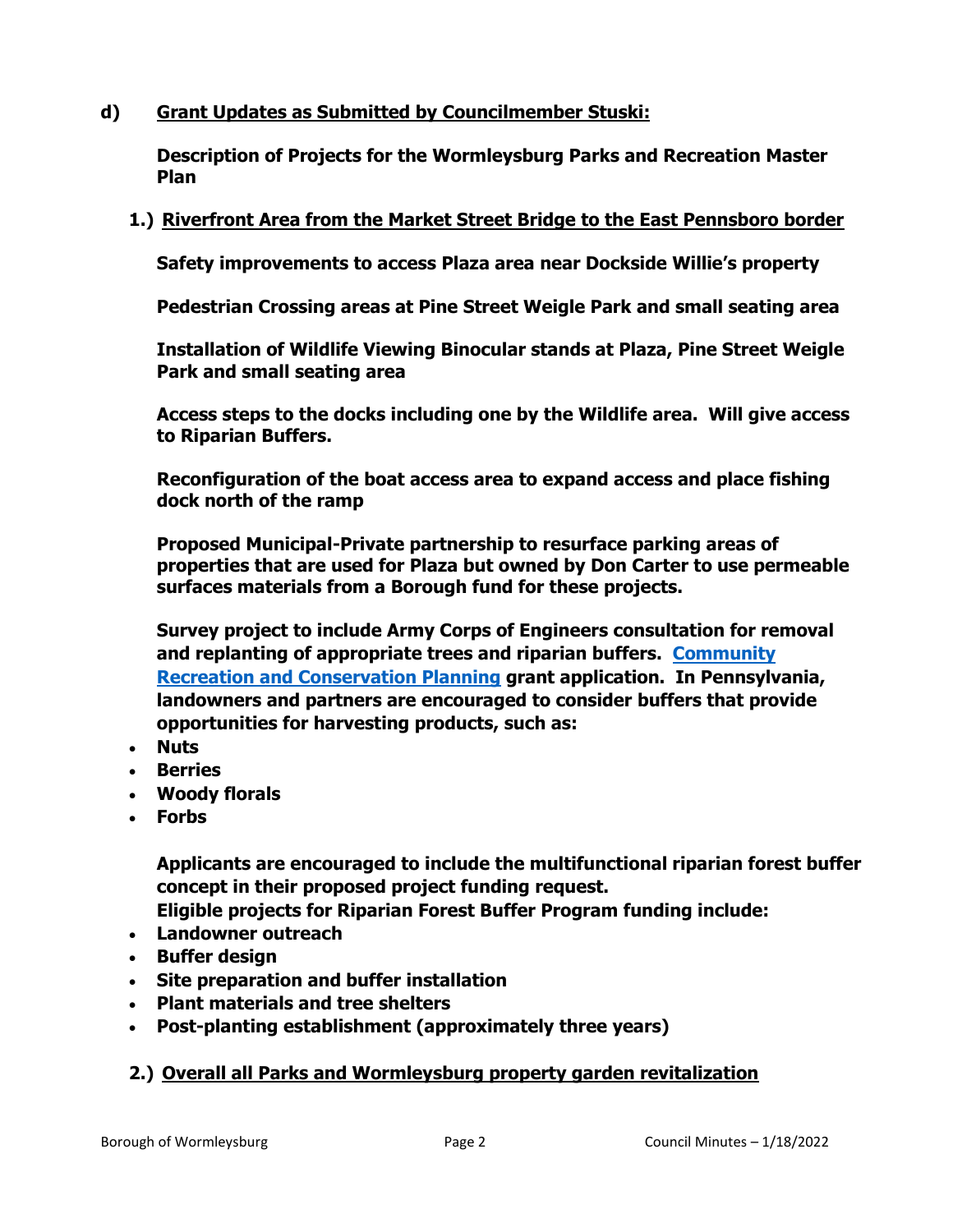# **d) Grant Updates as Submitted by Councilmember Stuski:**

**Description of Projects for the Wormleysburg Parks and Recreation Master Plan**

## **1.) Riverfront Area from the Market Street Bridge to the East Pennsboro border**

**Safety improvements to access Plaza area near Dockside Willie's property**

**Pedestrian Crossing areas at Pine Street Weigle Park and small seating area**

**Installation of Wildlife Viewing Binocular stands at Plaza, Pine Street Weigle Park and small seating area**

**Access steps to the docks including one by the Wildlife area. Will give access to Riparian Buffers.**

**Reconfiguration of the boat access area to expand access and place fishing dock north of the ramp**

**Proposed Municipal-Private partnership to resurface parking areas of properties that are used for Plaza but owned by Don Carter to use permeable surfaces materials from a Borough fund for these projects.**

**Survey project to include Army Corps of Engineers consultation for removal and replanting of appropriate trees and riparian buffers. [Community](https://brcgrants.dcnr.pa.gov/)  [Recreation and Conservation Planning](https://brcgrants.dcnr.pa.gov/) grant application. In Pennsylvania, landowners and partners are encouraged to consider buffers that provide opportunities for harvesting products, such as:**

- **Nuts**
- **Berries**
- **Woody florals**
- **Forbs**

**Applicants are encouraged to include the multifunctional riparian forest buffer concept in their proposed project funding request.**

**Eligible projects for Riparian Forest Buffer Program funding include:**

- **Landowner outreach**
- **Buffer design**
- **Site preparation and buffer installation**
- **Plant materials and tree shelters**
- **Post-planting establishment (approximately three years)**

# **2.) Overall all Parks and Wormleysburg property garden revitalization**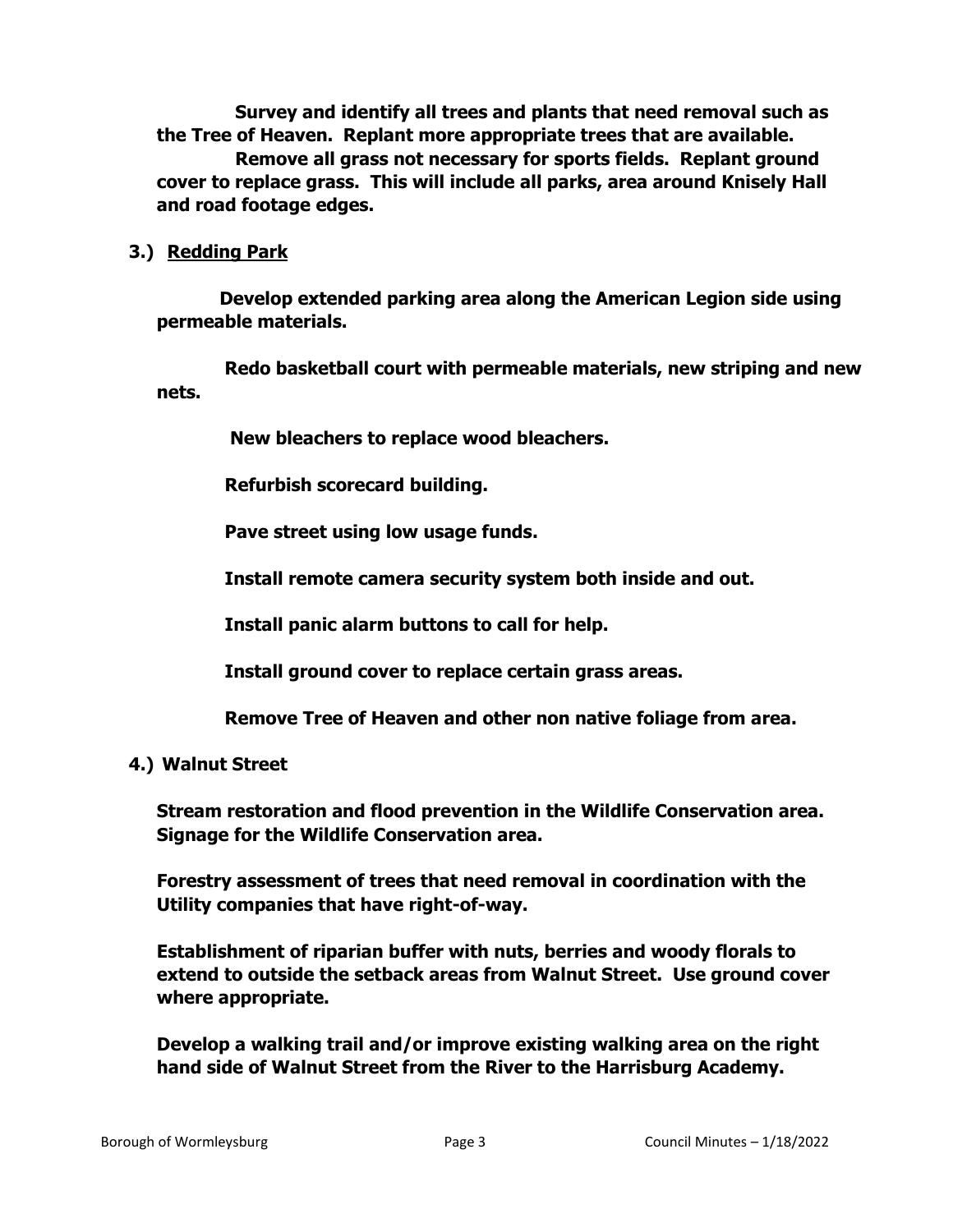**Survey and identify all trees and plants that need removal such as the Tree of Heaven. Replant more appropriate trees that are available. Remove all grass not necessary for sports fields. Replant ground cover to replace grass. This will include all parks, area around Knisely Hall and road footage edges.** 

**3.) Redding Park** 

 **Develop extended parking area along the American Legion side using permeable materials.**

 **Redo basketball court with permeable materials, new striping and new nets.** 

 **New bleachers to replace wood bleachers.**

 **Refurbish scorecard building.** 

 **Pave street using low usage funds.** 

 **Install remote camera security system both inside and out.**

 **Install panic alarm buttons to call for help.**

 **Install ground cover to replace certain grass areas.**

 **Remove Tree of Heaven and other non native foliage from area.**

# **4.) Walnut Street**

**Stream restoration and flood prevention in the Wildlife Conservation area. Signage for the Wildlife Conservation area.**

**Forestry assessment of trees that need removal in coordination with the Utility companies that have right-of-way.**

**Establishment of riparian buffer with nuts, berries and woody florals to extend to outside the setback areas from Walnut Street. Use ground cover where appropriate.**

**Develop a walking trail and/or improve existing walking area on the right hand side of Walnut Street from the River to the Harrisburg Academy.**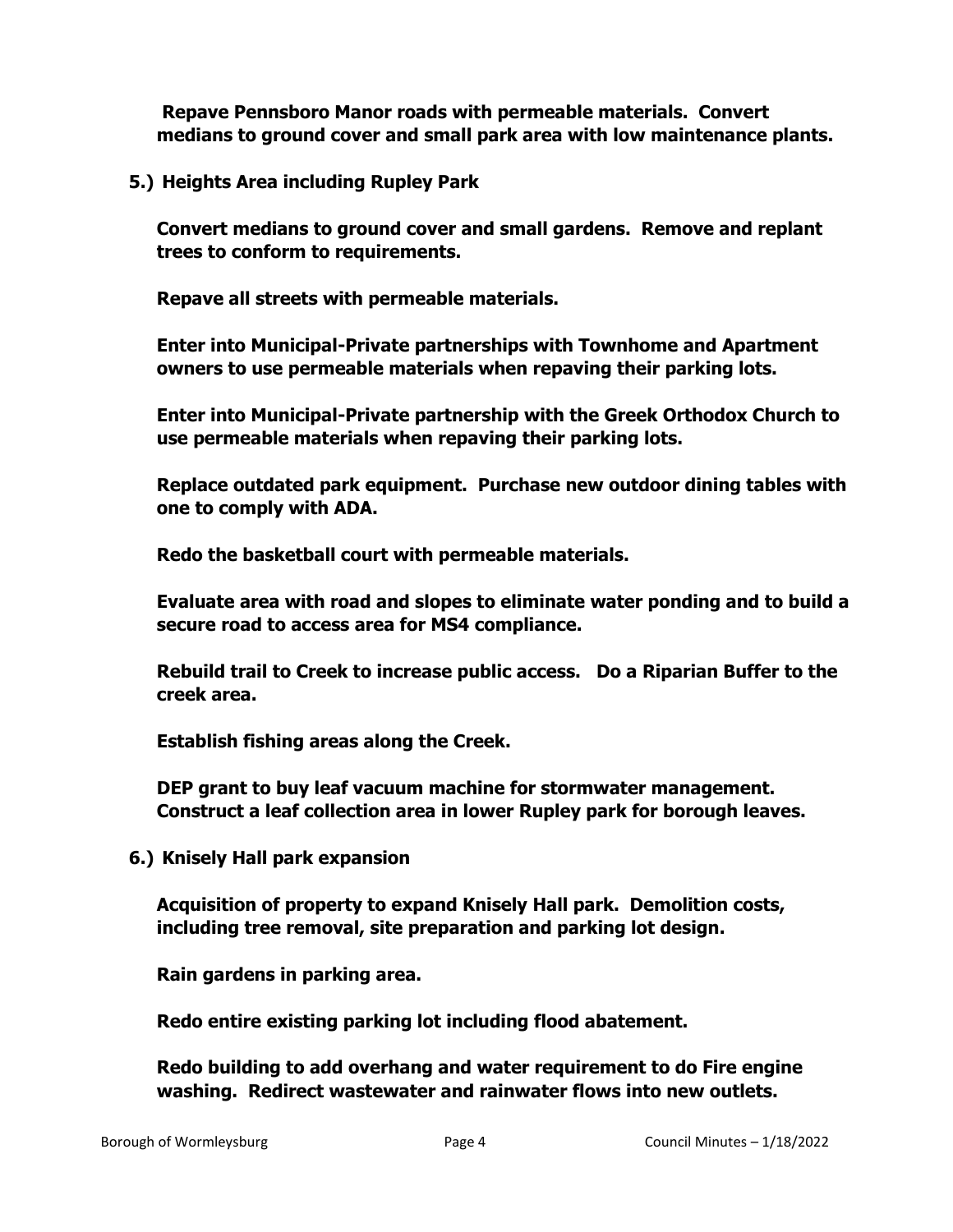**Repave Pennsboro Manor roads with permeable materials. Convert medians to ground cover and small park area with low maintenance plants.**

**5.) Heights Area including Rupley Park**

**Convert medians to ground cover and small gardens. Remove and replant trees to conform to requirements.**

**Repave all streets with permeable materials.**

**Enter into Municipal-Private partnerships with Townhome and Apartment owners to use permeable materials when repaving their parking lots.**

**Enter into Municipal-Private partnership with the Greek Orthodox Church to use permeable materials when repaving their parking lots.**

**Replace outdated park equipment. Purchase new outdoor dining tables with one to comply with ADA.** 

**Redo the basketball court with permeable materials.** 

**Evaluate area with road and slopes to eliminate water ponding and to build a secure road to access area for MS4 compliance.**

**Rebuild trail to Creek to increase public access. Do a Riparian Buffer to the creek area.** 

**Establish fishing areas along the Creek.** 

**DEP grant to buy leaf vacuum machine for stormwater management. Construct a leaf collection area in lower Rupley park for borough leaves.**

**6.) Knisely Hall park expansion**

**Acquisition of property to expand Knisely Hall park. Demolition costs, including tree removal, site preparation and parking lot design.**

**Rain gardens in parking area.**

**Redo entire existing parking lot including flood abatement.**

**Redo building to add overhang and water requirement to do Fire engine washing. Redirect wastewater and rainwater flows into new outlets.**